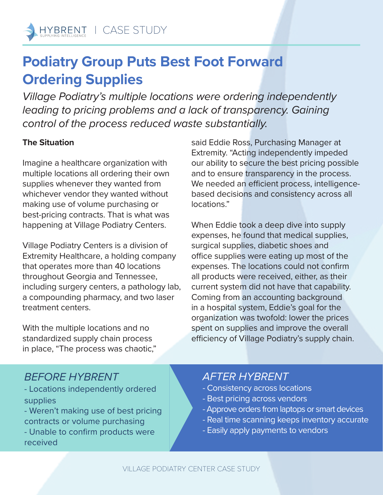# **Podiatry Group Puts Best Foot Forward Ordering Supplies**

*Village Podiatry's multiple locations were ordering independently*  leading to pricing problems and a lack of transparency. Gaining *control of the process reduced waste substantially.*

### **The Situation**

Imagine a healthcare organization with multiple locations all ordering their own supplies whenever they wanted from whichever vendor they wanted without making use of volume purchasing or best-pricing contracts. That is what was happening at Village Podiatry Centers.

Village Podiatry Centers is a division of Extremity Healthcare, a holding company that operates more than 40 locations throughout Georgia and Tennessee, including surgery centers, a pathology lab, a compounding pharmacy, and two laser treatment centers.

With the multiple locations and no standardized supply chain process in place, "The process was chaotic,"

said Eddie Ross, Purchasing Manager at Extremity. "Acting independently impeded our ability to secure the best pricing possible and to ensure transparency in the process. We needed an efficient process, intelligencebased decisions and consistency across all locations."

When Eddie took a deep dive into supply expenses, he found that medical supplies, surgical supplies, diabetic shoes and office supplies were eating up most of the expenses. The locations could not confirm all products were received, either, as their current system did not have that capability. Coming from an accounting background in a hospital system, Eddie's goal for the organization was twofold: lower the prices spent on supplies and improve the overall efficiency of Village Podiatry's supply chain.

## *BEFORE HYBRENT*

- Locations independently ordered supplies
- Weren't making use of best pricing contracts or volume purchasing
- Unable to confirm products were received

## *AFTER HYBRENT*

- Consistency across locations
- Best pricing across vendors
- Approve orders from laptops or smart devices
- Real time scanning keeps inventory accurate
- Easily apply payments to vendors